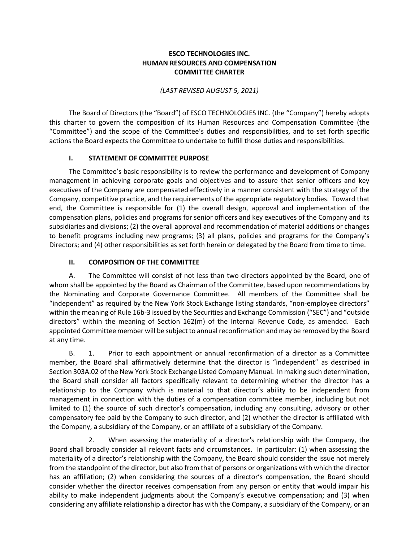### **ESCO TECHNOLOGIES INC. HUMAN RESOURCES AND COMPENSATION COMMITTEE CHARTER**

#### *(LAST REVISED AUGUST 5, 2021)*

The Board of Directors (the "Board") of ESCO TECHNOLOGIES INC. (the "Company") hereby adopts this charter to govern the composition of its Human Resources and Compensation Committee (the "Committee") and the scope of the Committee's duties and responsibilities, and to set forth specific actions the Board expects the Committee to undertake to fulfill those duties and responsibilities.

### **I. STATEMENT OF COMMITTEE PURPOSE**

The Committee's basic responsibility is to review the performance and development of Company management in achieving corporate goals and objectives and to assure that senior officers and key executives of the Company are compensated effectively in a manner consistent with the strategy of the Company, competitive practice, and the requirements of the appropriate regulatory bodies. Toward that end, the Committee is responsible for (1) the overall design, approval and implementation of the compensation plans, policies and programs for senior officers and key executives of the Company and its subsidiaries and divisions; (2) the overall approval and recommendation of material additions or changes to benefit programs including new programs; (3) all plans, policies and programs for the Company's Directors; and (4) other responsibilities as set forth herein or delegated by the Board from time to time.

### **II. COMPOSITION OF THE COMMITTEE**

A. The Committee will consist of not less than two directors appointed by the Board, one of whom shall be appointed by the Board as Chairman of the Committee, based upon recommendations by the Nominating and Corporate Governance Committee. All members of the Committee shall be "independent" as required by the New York Stock Exchange listing standards, "non-employee directors" within the meaning of Rule 16b-3 issued by the Securities and Exchange Commission ("SEC") and "outside directors" within the meaning of Section 162(m) of the Internal Revenue Code, as amended. Each appointed Committee member will be subject to annual reconfirmation and may be removed by the Board at any time.

B. 1. Prior to each appointment or annual reconfirmation of a director as a Committee member, the Board shall affirmatively determine that the director is "independent" as described in Section 303A.02 of the New York Stock Exchange Listed Company Manual. In making such determination, the Board shall consider all factors specifically relevant to determining whether the director has a relationship to the Company which is material to that director's ability to be independent from management in connection with the duties of a compensation committee member, including but not limited to (1) the source of such director's compensation, including any consulting, advisory or other compensatory fee paid by the Company to such director, and (2) whether the director is affiliated with the Company, a subsidiary of the Company, or an affiliate of a subsidiary of the Company.

2. When assessing the materiality of a director's relationship with the Company, the Board shall broadly consider all relevant facts and circumstances. In particular: (1) when assessing the materiality of a director's relationship with the Company, the Board should consider the issue not merely from the standpoint of the director, but also from that of persons or organizations with which the director has an affiliation; (2) when considering the sources of a director's compensation, the Board should consider whether the director receives compensation from any person or entity that would impair his ability to make independent judgments about the Company's executive compensation; and (3) when considering any affiliate relationship a director has with the Company, a subsidiary of the Company, or an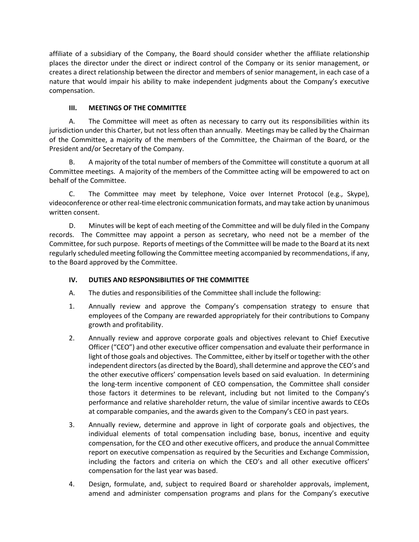affiliate of a subsidiary of the Company, the Board should consider whether the affiliate relationship places the director under the direct or indirect control of the Company or its senior management, or creates a direct relationship between the director and members of senior management, in each case of a nature that would impair his ability to make independent judgments about the Company's executive compensation.

# **III. MEETINGS OF THE COMMITTEE**

A. The Committee will meet as often as necessary to carry out its responsibilities within its jurisdiction under this Charter, but not less often than annually. Meetings may be called by the Chairman of the Committee, a majority of the members of the Committee, the Chairman of the Board, or the President and/or Secretary of the Company.

B. A majority of the total number of members of the Committee will constitute a quorum at all Committee meetings. A majority of the members of the Committee acting will be empowered to act on behalf of the Committee.

C. The Committee may meet by telephone, Voice over Internet Protocol (e.g., Skype), videoconference or other real-time electronic communication formats, and may take action by unanimous written consent.

D. Minutes will be kept of each meeting of the Committee and will be duly filed in the Company records. The Committee may appoint a person as secretary, who need not be a member of the Committee, for such purpose. Reports of meetings of the Committee will be made to the Board at its next regularly scheduled meeting following the Committee meeting accompanied by recommendations, if any, to the Board approved by the Committee.

# **IV. DUTIES AND RESPONSIBILITIES OF THE COMMITTEE**

- A. The duties and responsibilities of the Committee shall include the following:
- 1. Annually review and approve the Company's compensation strategy to ensure that employees of the Company are rewarded appropriately for their contributions to Company growth and profitability.
- 2. Annually review and approve corporate goals and objectives relevant to Chief Executive Officer ("CEO") and other executive officer compensation and evaluate their performance in light of those goals and objectives. The Committee, either by itself or together with the other independent directors (as directed by the Board), shall determine and approve the CEO's and the other executive officers' compensation levels based on said evaluation. In determining the long-term incentive component of CEO compensation, the Committee shall consider those factors it determines to be relevant, including but not limited to the Company's performance and relative shareholder return, the value of similar incentive awards to CEOs at comparable companies, and the awards given to the Company's CEO in past years.
- 3. Annually review, determine and approve in light of corporate goals and objectives, the individual elements of total compensation including base, bonus, incentive and equity compensation, for the CEO and other executive officers, and produce the annual Committee report on executive compensation as required by the Securities and Exchange Commission, including the factors and criteria on which the CEO's and all other executive officers' compensation for the last year was based.
- 4. Design, formulate, and, subject to required Board or shareholder approvals, implement, amend and administer compensation programs and plans for the Company's executive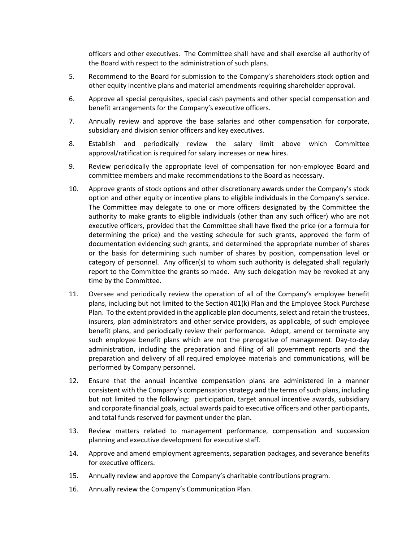officers and other executives. The Committee shall have and shall exercise all authority of the Board with respect to the administration of such plans.

- 5. Recommend to the Board for submission to the Company's shareholders stock option and other equity incentive plans and material amendments requiring shareholder approval.
- 6. Approve all special perquisites, special cash payments and other special compensation and benefit arrangements for the Company's executive officers.
- 7. Annually review and approve the base salaries and other compensation for corporate, subsidiary and division senior officers and key executives.
- 8. Establish and periodically review the salary limit above which Committee approval/ratification is required for salary increases or new hires.
- 9. Review periodically the appropriate level of compensation for non-employee Board and committee members and make recommendations to the Board as necessary.
- 10. Approve grants of stock options and other discretionary awards under the Company's stock option and other equity or incentive plans to eligible individuals in the Company's service. The Committee may delegate to one or more officers designated by the Committee the authority to make grants to eligible individuals (other than any such officer) who are not executive officers, provided that the Committee shall have fixed the price (or a formula for determining the price) and the vesting schedule for such grants, approved the form of documentation evidencing such grants, and determined the appropriate number of shares or the basis for determining such number of shares by position, compensation level or category of personnel. Any officer(s) to whom such authority is delegated shall regularly report to the Committee the grants so made. Any such delegation may be revoked at any time by the Committee.
- 11. Oversee and periodically review the operation of all of the Company's employee benefit plans, including but not limited to the Section 401(k) Plan and the Employee Stock Purchase Plan. To the extent provided in the applicable plan documents, select and retain the trustees, insurers, plan administrators and other service providers, as applicable, of such employee benefit plans, and periodically review their performance. Adopt, amend or terminate any such employee benefit plans which are not the prerogative of management. Day-to-day administration, including the preparation and filing of all government reports and the preparation and delivery of all required employee materials and communications, will be performed by Company personnel.
- 12. Ensure that the annual incentive compensation plans are administered in a manner consistent with the Company's compensation strategy and the terms of such plans, including but not limited to the following: participation, target annual incentive awards, subsidiary and corporate financial goals, actual awards paid to executive officers and other participants, and total funds reserved for payment under the plan.
- 13. Review matters related to management performance, compensation and succession planning and executive development for executive staff.
- 14. Approve and amend employment agreements, separation packages, and severance benefits for executive officers.
- 15. Annually review and approve the Company's charitable contributions program.
- 16. Annually review the Company's Communication Plan.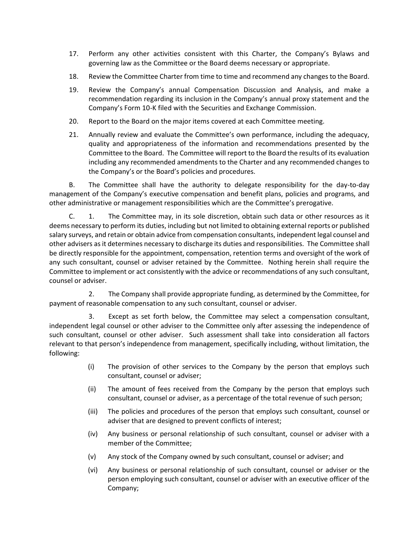- 17. Perform any other activities consistent with this Charter, the Company's Bylaws and governing law as the Committee or the Board deems necessary or appropriate.
- 18. Review the Committee Charter from time to time and recommend any changes to the Board.
- 19. Review the Company's annual Compensation Discussion and Analysis, and make a recommendation regarding its inclusion in the Company's annual proxy statement and the Company's Form 10-K filed with the Securities and Exchange Commission.
- 20. Report to the Board on the major items covered at each Committee meeting.
- 21. Annually review and evaluate the Committee's own performance, including the adequacy, quality and appropriateness of the information and recommendations presented by the Committee to the Board. The Committee will report to the Board the results of its evaluation including any recommended amendments to the Charter and any recommended changes to the Company's or the Board's policies and procedures.

B. The Committee shall have the authority to delegate responsibility for the day-to-day management of the Company's executive compensation and benefit plans, policies and programs, and other administrative or management responsibilities which are the Committee's prerogative.

C. 1. The Committee may, in its sole discretion, obtain such data or other resources as it deems necessary to perform its duties, including but not limited to obtaining external reports or published salary surveys, and retain or obtain advice from compensation consultants, independent legal counsel and other advisers as it determines necessary to discharge its duties and responsibilities. The Committee shall be directly responsible for the appointment, compensation, retention terms and oversight of the work of any such consultant, counsel or adviser retained by the Committee. Nothing herein shall require the Committee to implement or act consistently with the advice or recommendations of any such consultant, counsel or adviser.

2. The Company shall provide appropriate funding, as determined by the Committee, for payment of reasonable compensation to any such consultant, counsel or adviser.

3. Except as set forth below, the Committee may select a compensation consultant, independent legal counsel or other adviser to the Committee only after assessing the independence of such consultant, counsel or other adviser. Such assessment shall take into consideration all factors relevant to that person's independence from management, specifically including, without limitation, the following:

- (i) The provision of other services to the Company by the person that employs such consultant, counsel or adviser;
- (ii) The amount of fees received from the Company by the person that employs such consultant, counsel or adviser, as a percentage of the total revenue of such person;
- (iii) The policies and procedures of the person that employs such consultant, counsel or adviser that are designed to prevent conflicts of interest;
- (iv) Any business or personal relationship of such consultant, counsel or adviser with a member of the Committee;
- (v) Any stock of the Company owned by such consultant, counsel or adviser; and
- (vi) Any business or personal relationship of such consultant, counsel or adviser or the person employing such consultant, counsel or adviser with an executive officer of the Company;